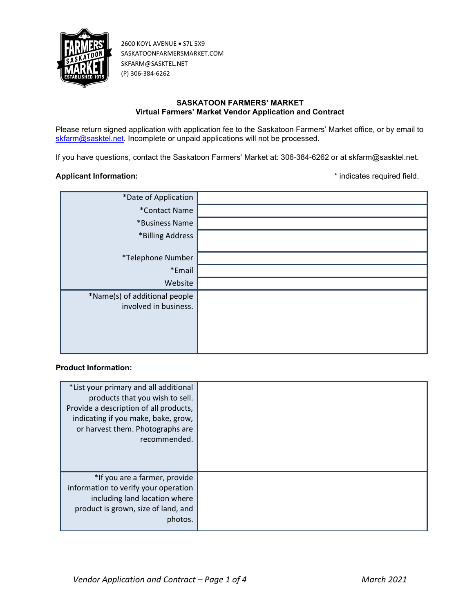

## SASKATOON FARMERS' MARKET Virtual Farmers' Market Vendor Application and Contract

Please return signed application with application fee to the Saskatoon Farmers' Market office, or by email to skfarm@sasktel.net. Incomplete or unpaid applications will not be processed.

If you have questions, contact the Saskatoon Farmers' Market at: 306-384-6262 or at skfarm@sasktel.net.

#### Applicant Information:  $\bullet$  \* indicates required field.

| *Date of Application          |  |
|-------------------------------|--|
| *Contact Name                 |  |
| *Business Name                |  |
| *Billing Address              |  |
|                               |  |
| *Telephone Number             |  |
| *Email                        |  |
| Website                       |  |
| *Name(s) of additional people |  |
| involved in business.         |  |
|                               |  |
|                               |  |
|                               |  |
|                               |  |

# Product Information:

| *List your primary and all additional<br>products that you wish to sell.<br>Provide a description of all products,<br>indicating if you make, bake, grow,<br>or harvest them. Photographs are<br>recommended. |  |
|---------------------------------------------------------------------------------------------------------------------------------------------------------------------------------------------------------------|--|
| *If you are a farmer, provide<br>information to verify your operation<br>including land location where<br>product is grown, size of land, and<br>photos.                                                      |  |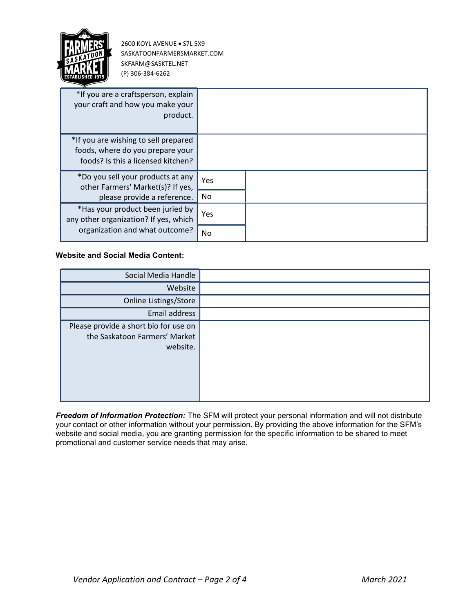

| *If you are a craftsperson, explain<br>your craft and how you make your<br>product.                            |     |  |
|----------------------------------------------------------------------------------------------------------------|-----|--|
| *If you are wishing to sell prepared<br>foods, where do you prepare your<br>foods? Is this a licensed kitchen? |     |  |
| *Do you sell your products at any<br>other Farmers' Market(s)? If yes,                                         | Yes |  |
| please provide a reference.                                                                                    | No. |  |
| *Has your product been juried by<br>any other organization? If yes, which                                      | Yes |  |
| organization and what outcome?                                                                                 | No  |  |

## Website and Social Media Content:

| Social Media Handle                                                                |  |
|------------------------------------------------------------------------------------|--|
| Website                                                                            |  |
| Online Listings/Store                                                              |  |
| Email address                                                                      |  |
| Please provide a short bio for use on<br>the Saskatoon Farmers' Market<br>website. |  |

Freedom of Information Protection: The SFM will protect your personal information and will not distribute your contact or other information without your permission. By providing the above information for the SFM's website and social media, you are granting permission for the specific information to be shared to meet promotional and customer service needs that may arise.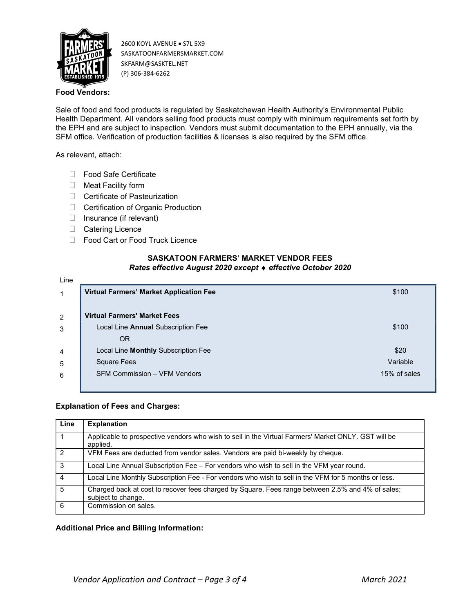

## Food Vendors:

Sale of food and food products is regulated by Saskatchewan Health Authority's Environmental Public Health Department. All vendors selling food products must comply with minimum requirements set forth by the EPH and are subject to inspection. Vendors must submit documentation to the EPH annually, via the SFM office. Verification of production facilities & licenses is also required by the SFM office.

As relevant, attach:

- □ Food Safe Certificate
- $\Box$  Meat Facility form
- □ Certificate of Pasteurization
- □ Certification of Organic Production
- $\Box$  Insurance (if relevant)
- Catering Licence
- □ Food Cart or Food Truck Licence

## SASKATOON FARMERS' MARKET VENDOR FEES Rates effective August 2020 except • effective October 2020

| Line           |                                                |              |
|----------------|------------------------------------------------|--------------|
| 1              | <b>Virtual Farmers' Market Application Fee</b> | \$100        |
|                |                                                |              |
| 2              | <b>Virtual Farmers' Market Fees</b>            |              |
| 3              | Local Line Annual Subscription Fee             | \$100        |
|                | <b>OR</b>                                      |              |
| $\overline{a}$ | Local Line Monthly Subscription Fee            | \$20         |
| 5              | <b>Square Fees</b>                             | Variable     |
| 6              | <b>SFM Commission - VFM Vendors</b>            | 15% of sales |
|                |                                                |              |

#### Explanation of Fees and Charges:

| Line           | <b>Explanation</b>                                                                                                     |
|----------------|------------------------------------------------------------------------------------------------------------------------|
|                | Applicable to prospective vendors who wish to sell in the Virtual Farmers' Market ONLY. GST will be<br>applied.        |
| 2              | VFM Fees are deducted from vendor sales. Vendors are paid bi-weekly by cheque.                                         |
| 3              | Local Line Annual Subscription Fee - For vendors who wish to sell in the VFM year round.                               |
| 4              | Local Line Monthly Subscription Fee - For vendors who wish to sell in the VFM for 5 months or less.                    |
| $\overline{5}$ | Charged back at cost to recover fees charged by Square. Fees range between 2.5% and 4% of sales;<br>subject to change. |
| 6              | Commission on sales.                                                                                                   |

#### Additional Price and Billing Information: